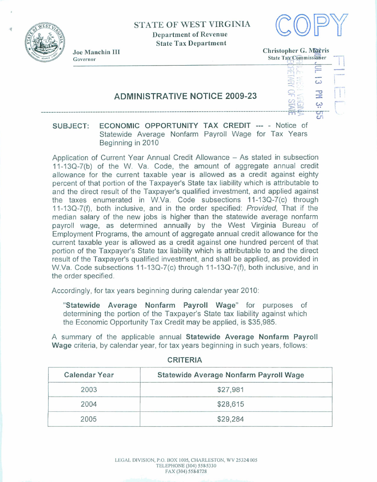

**9** 

## **STATE OF WEST VIRGINIA Department of Revenue State Tax Department**



**State Tax Department**<br>
Governor **Christopher G. Morris**<br>
Governor State Tax Commissioner **Joe Manchin 111 Christopher** *G.*  **gy Commissioner**<br>
1987<br>
1988<br>
1988<br>
1988<br>
1988<br>
1988<br>
1988<br>
1988<br>
1988<br>
1988<br>
1988<br>
1988<br>
1988<br>
1988<br>
1988<br>
1988<br>
1988<br>
1988<br>
1988<br>
1988<br>
1988<br>
1988<br>
1988<br>
1988<br>
1988<br>
1988<br>
1988<br>
1988<br>
1988<br>
1988<br>
1988<br>
1988<br>
1988<br>
1988<br> **PREFECTE SER** -- --------------- **----A**  بب **cn** 

## **SUBJECT: ECONOMIC OPPORTUNITY TAX** CREDIT -- - Notice of Statewide Average Nonfarm Payroll **Wage for** Tax Years Beginning in 2010

**ADMINISTRATIVE NOTICE 2009-23** 

Application of Current Year Annual Credit Allowance - As stated in subsection **11-43Q-7(b)** of the **W.** Va. **Code,** the **amount of** aggregate annual credit allowance for the current taxable year is **allowed** as a credit against eighty percent of that portion of the Taxpayer's State tax liability which is attributable to **and** the direct result of the Taxpayer's qualified investment, and applied against the taxes enumerated in **W.Va.** Code subsections 11-13Q-7(c) through 11-13Q-7(f), both inclusive, and in the order specified: Provided, That if the median salary of the new jobs is higher than the statewide average nonfarm payroll wage, as determined annually by the West Virginia Bureau of Employment Programs, the **amount** of aggregate annual credit allowance for the current taxable year is allowed as a credit against one hundred **percent** of that portion of the Taxpayer's State tax liability which is attributable to and the direct result of the **Taxpayer's qualified** investment, and shall be applied, as provided in **W.Va.** Code subsections **1** 1-1 **3Q-7(c)** through **1** 1-1 **3Q-7(9,** both inclusive, and in the order specified.

Accordingly, for tax years beginning during calendar year 2010:

**"Statewide Average Nonfarm Payroll Wage" for purposes of**  determining the portion of the Taxpayer's State tax liability against which the Economic **Opportunity** Tax Credit **may** be applied, is \$35,985.

**A** summary of the applicable **annual** Statewide Average Nonfarm **PayrolI Wage** criteria, by calendar year, for tax years beginning in **such** years, follows:

| <b>Calendar Year</b> | Statewide Average Nonfarm Payroll Wage |
|----------------------|----------------------------------------|
| 2003                 | \$27,981                               |
| 2004                 | \$28,615                               |
| 2005                 | \$29,284                               |

## **CRITERIA**